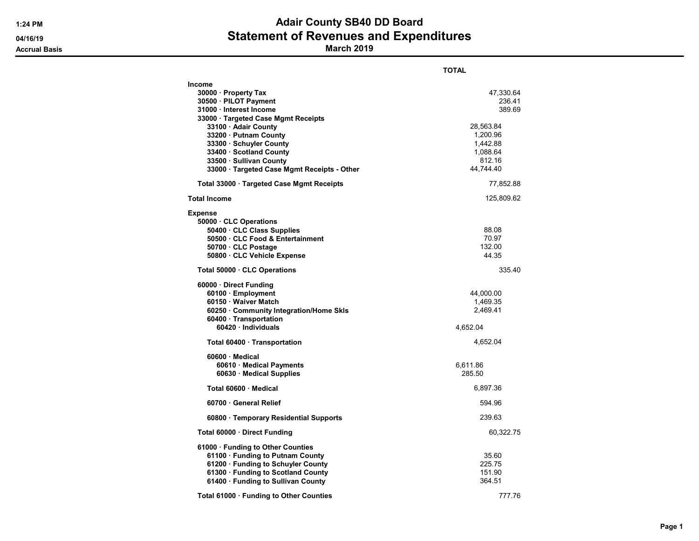### 1:24 PM **Adair County SB40 DD Board** 04/16/19 **Statement of Revenues and Expenditures**

Accrual Basis March 2019

|                                                                                                                                                                                                                                                                                                                 | TOTAL                                                                                                 |
|-----------------------------------------------------------------------------------------------------------------------------------------------------------------------------------------------------------------------------------------------------------------------------------------------------------------|-------------------------------------------------------------------------------------------------------|
| <b>Income</b><br>30000 · Property Tax<br>30500 · PILOT Payment<br>31000 · Interest Income<br>33000 · Targeted Case Mgmt Receipts<br>33100 · Adair County<br>33200 · Putnam County<br>33300 · Schuyler County<br>33400 · Scotland County<br>33500 · Sullivan County<br>33000 Targeted Case Mgmt Receipts - Other | 47,330.64<br>236.41<br>389.69<br>28,563.84<br>1,200.96<br>1,442.88<br>1,088.64<br>812.16<br>44,744.40 |
| Total 33000 Targeted Case Mgmt Receipts                                                                                                                                                                                                                                                                         | 77,852.88                                                                                             |
| <b>Total Income</b>                                                                                                                                                                                                                                                                                             | 125,809.62                                                                                            |
| <b>Expense</b><br>50000 CLC Operations<br>50400 CLC Class Supplies<br>50500 CLC Food & Entertainment<br>50700 CLC Postage<br>50800 CLC Vehicle Expense                                                                                                                                                          | 88.08<br>70.97<br>132.00<br>44.35                                                                     |
| Total 50000 CLC Operations                                                                                                                                                                                                                                                                                      | 335.40                                                                                                |
| 60000 · Direct Funding<br>60100 · Employment<br>60150 · Waiver Match<br>60250 Community Integration/Home Skls<br>60400 Transportation<br>60420 · Individuals                                                                                                                                                    | 44,000.00<br>1,469.35<br>2,469.41<br>4,652.04                                                         |
| Total 60400 · Transportation                                                                                                                                                                                                                                                                                    | 4,652.04                                                                                              |
| $60600 \cdot$ Medical<br>60610 · Medical Payments<br>60630 · Medical Supplies<br>Total 60600 · Medical                                                                                                                                                                                                          | 6,611.86<br>285.50<br>6,897.36                                                                        |
| 60700 General Relief                                                                                                                                                                                                                                                                                            | 594.96                                                                                                |
| 60800 · Temporary Residential Supports                                                                                                                                                                                                                                                                          | 239.63                                                                                                |
| Total 60000 · Direct Funding                                                                                                                                                                                                                                                                                    | 60,322.75                                                                                             |
| 61000 · Funding to Other Counties<br>61100 · Funding to Putnam County<br>61200 · Funding to Schuyler County<br>61300 · Funding to Scotland County<br>61400 · Funding to Sullivan County                                                                                                                         | 35.60<br>225.75<br>151.90<br>364.51                                                                   |
| Total 61000 · Funding to Other Counties                                                                                                                                                                                                                                                                         | 777.76                                                                                                |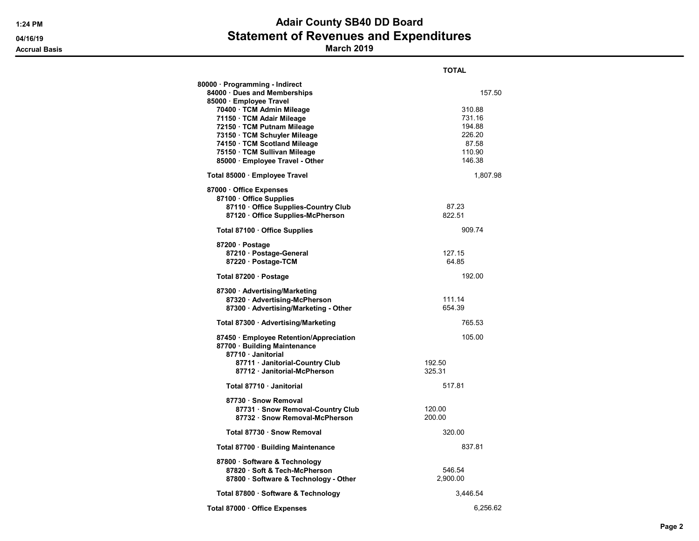## 1:24 PM **Adair County SB40 DD Board** 04/16/19 **Statement of Revenues and Expenditures**

Accrual Basis March 2019

|                                                                                                                                                                                                                                                                                                                    | <b>TOTAL</b>                                                                |
|--------------------------------------------------------------------------------------------------------------------------------------------------------------------------------------------------------------------------------------------------------------------------------------------------------------------|-----------------------------------------------------------------------------|
| 80000 · Programming - Indirect<br>84000 Dues and Memberships<br>85000 · Employee Travel<br>70400 · TCM Admin Mileage<br>71150 · TCM Adair Mileage<br>72150 · TCM Putnam Mileage<br>73150 · TCM Schuyler Mileage<br>74150 · TCM Scotland Mileage<br>75150 · TCM Sullivan Mileage<br>85000 · Employee Travel - Other | 157.50<br>310.88<br>731.16<br>194.88<br>226.20<br>87.58<br>110.90<br>146.38 |
| Total 85000 · Employee Travel                                                                                                                                                                                                                                                                                      | 1,807.98                                                                    |
| 87000 Office Expenses<br>87100 Office Supplies<br>87110 Office Supplies-Country Club<br>87120 Office Supplies-McPherson                                                                                                                                                                                            | 87.23<br>822.51                                                             |
| Total 87100 · Office Supplies                                                                                                                                                                                                                                                                                      | 909.74                                                                      |
| 87200 · Postage<br>87210 · Postage-General<br>87220 · Postage-TCM                                                                                                                                                                                                                                                  | 127.15<br>64.85                                                             |
| Total 87200 · Postage                                                                                                                                                                                                                                                                                              | 192.00                                                                      |
| 87300 · Advertising/Marketing<br>87320 · Advertising-McPherson<br>87300 · Advertising/Marketing - Other                                                                                                                                                                                                            | 111.14<br>654.39                                                            |
| Total 87300 · Advertising/Marketing                                                                                                                                                                                                                                                                                | 765.53                                                                      |
| 87450 · Employee Retention/Appreciation<br>87700 · Building Maintenance<br>87710 · Janitorial                                                                                                                                                                                                                      | 105.00                                                                      |
| 87711 · Janitorial-Country Club<br>87712 Janitorial-McPherson                                                                                                                                                                                                                                                      | 192.50<br>325.31                                                            |
| Total 87710 · Janitorial                                                                                                                                                                                                                                                                                           | 517.81                                                                      |
| 87730 · Snow Removal<br>87731 · Snow Removal-Country Club<br>87732 · Snow Removal-McPherson                                                                                                                                                                                                                        | 120.00<br>200.00                                                            |
| Total 87730 · Snow Removal                                                                                                                                                                                                                                                                                         | 320.00                                                                      |
| Total 87700 · Building Maintenance                                                                                                                                                                                                                                                                                 | 837.81                                                                      |
| 87800 · Software & Technology<br>87820 · Soft & Tech-McPherson<br>87800 · Software & Technology - Other                                                                                                                                                                                                            | 546.54<br>2,900.00                                                          |
| Total 87800 · Software & Technology                                                                                                                                                                                                                                                                                | 3,446.54                                                                    |
| Total 87000 Office Expenses                                                                                                                                                                                                                                                                                        | 6,256.62                                                                    |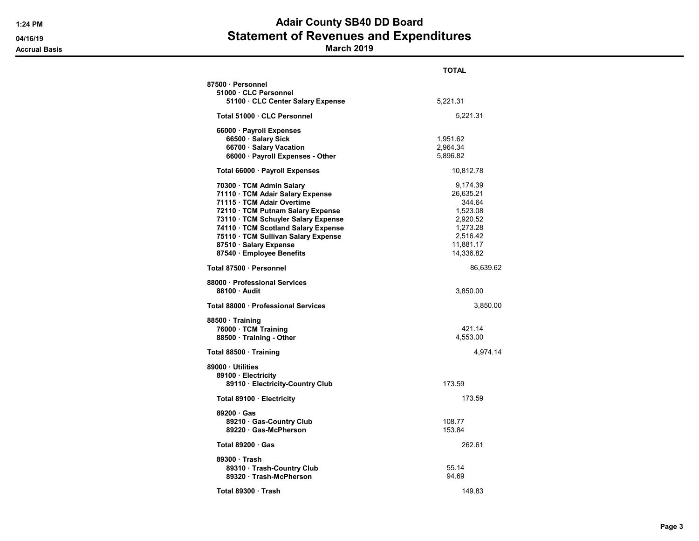# 1:24 PM **Adair County SB40 DD Board** 04/16/19 **Statement of Revenues and Expenditures**

Accrual Basis March 2019

|                                     | TOTAL     |
|-------------------------------------|-----------|
| 87500 · Personnel                   |           |
| 51000 CLC Personnel                 |           |
| 51100 · CLC Center Salary Expense   | 5,221.31  |
| Total 51000 · CLC Personnel         | 5,221.31  |
| 66000 · Payroll Expenses            |           |
| 66500 · Salary Sick                 | 1,951.62  |
| 66700 · Salary Vacation             | 2,964.34  |
| 66000 · Payroll Expenses - Other    | 5,896.82  |
|                                     |           |
| Total 66000 · Payroll Expenses      | 10,812.78 |
| 70300 · TCM Admin Salary            | 9,174.39  |
| 71110 · TCM Adair Salary Expense    | 26,635.21 |
| 71115 · TCM Adair Overtime          | 344.64    |
| 72110 · TCM Putnam Salary Expense   | 1,523.08  |
| 73110 · TCM Schuyler Salary Expense | 2,920.52  |
| 74110 · TCM Scotland Salary Expense | 1,273.28  |
|                                     |           |
| 75110 · TCM Sullivan Salary Expense | 2,516.42  |
| 87510 · Salary Expense              | 11,881.17 |
| 87540 · Employee Benefits           | 14,336.82 |
| Total 87500 · Personnel             | 86,639.62 |
| 88000 · Professional Services       |           |
| 88100 Audit                         | 3,850.00  |
| Total 88000 · Professional Services | 3,850.00  |
| 88500 Training                      |           |
| 76000 · TCM Training                | 421.14    |
| 88500 · Training - Other            | 4,553.00  |
| Total 88500 Training                | 4,974.14  |
| 89000 Utilities                     |           |
| 89100 · Electricity                 |           |
| 89110 · Electricity-Country Club    | 173.59    |
| Total 89100 · Electricity           | 173.59    |
| $89200 \cdot Gas$                   |           |
|                                     |           |
| 89210 · Gas-Country Club            | 108.77    |
| 89220 Gas-McPherson                 | 153.84    |
| Total $89200 \cdot Gas$             | 262.61    |
| 89300 Trash                         |           |
| 89310 · Trash-Country Club          | 55.14     |
| 89320 · Trash-McPherson             | 94.69     |
| Total 89300 · Trash                 | 149.83    |